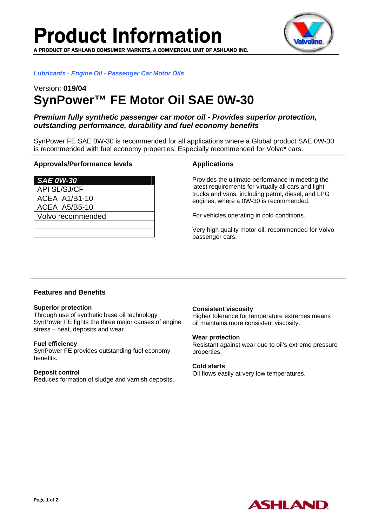

*Lubricants - Engine Oil - Passenger Car Motor Oils* 

# Version: **019/04 SynPower™ FE Motor Oil SAE 0W-30**

# *Premium fully synthetic passenger car motor oil - Provides superior protection, outstanding performance, durability and fuel economy benefits*

SynPower FE SAE 0W-30 is recommended for all applications where a Global product SAE 0W-30 is recommended with fuel economy properties. Especially recommended for Volvo\* cars.

#### **Approvals/Performance levels**

| <b>SAE 0W-30</b>     |
|----------------------|
| <b>API SL/SJ/CF</b>  |
| <b>ACEA A1/B1-10</b> |
| <b>ACEA A5/B5-10</b> |
| Volvo recommended    |
|                      |

## **Applications**

Provides the ultimate performance in meeting the latest requirements for virtually all cars and light trucks and vans, including petrol, diesel, and LPG engines, where a 0W-30 is recommended.

For vehicles operating in cold conditions.

Very high quality motor oil, recommended for Volvo passenger cars.

# **Features and Benefits**

#### **Superior protection**

Through use of synthetic base oil technology SynPower FE fights the three major causes of engine stress – heat, deposits and wear.

#### **Fuel efficiency**

SynPower FE provides outstanding fuel economy benefits.

#### **Deposit control**

Reduces formation of sludge and varnish deposits.

#### **Consistent viscosity**

Higher tolerance for temperature extremes means oil maintains more consistent viscosity.

#### **Wear protection**

Resistant against wear due to oil's extreme pressure properties.

#### **Cold starts**

Oil flows easily at very low temperatures.